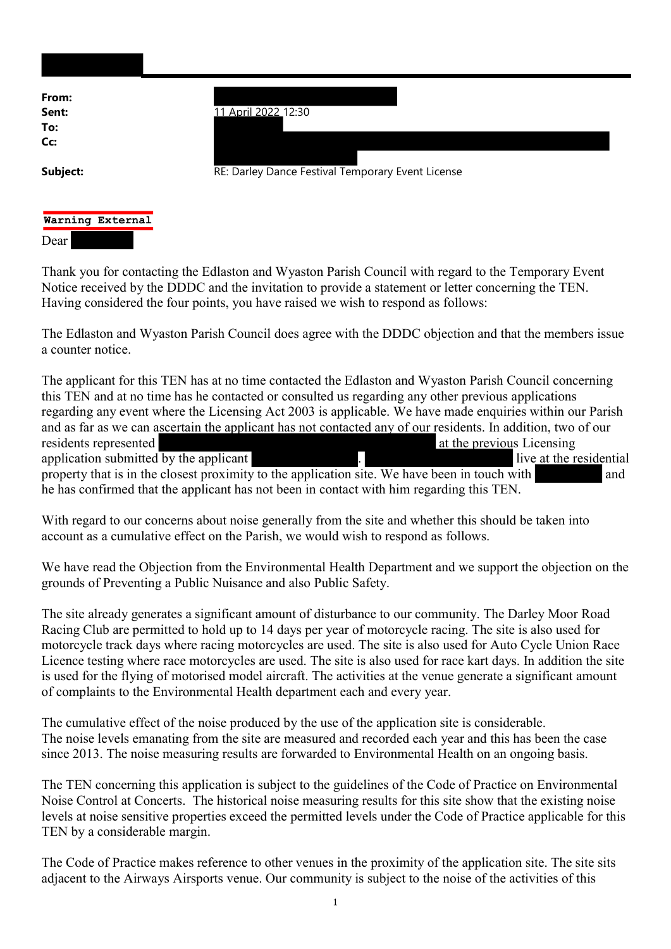| From:                    |                                                   |
|--------------------------|---------------------------------------------------|
| Sent:<br>To:<br>Cc:      | 11 April 2022_12:30                               |
| Subject:                 | RE: Darley Dance Festival Temporary Event License |
| Warning External<br>Dear |                                                   |

Thank you for contacting the Edlaston and Wyaston Parish Council with regard to the Temporary Event Notice received by the DDDC and the invitation to provide a statement or letter concerning the TEN. Having considered the four points, you have raised we wish to respond as follows:

The Edlaston and Wyaston Parish Council does agree with the DDDC objection and that the members issue a counter notice.

The applicant for this TEN has at no time contacted the Edlaston and Wyaston Parish Council concerning this TEN and at no time has he contacted or consulted us regarding any other previous applications regarding any event where the Licensing Act 2003 is applicable. We have made enquiries within our Parish and as far as we can ascertain the applicant has not contacted any of our residents. In addition, two of our residents represented at the previous Licensing application submitted by the applicant **applicant** . **live at the residential** property that is in the closest proximity to the application site. We have been in touch with and he has confirmed that the applicant has not been in contact with him regarding this TEN.

With regard to our concerns about noise generally from the site and whether this should be taken into account as a cumulative effect on the Parish, we would wish to respond as follows.

We have read the Objection from the Environmental Health Department and we support the objection on the grounds of Preventing a Public Nuisance and also Public Safety.

The site already generates a significant amount of disturbance to our community. The Darley Moor Road Racing Club are permitted to hold up to 14 days per year of motorcycle racing. The site is also used for motorcycle track days where racing motorcycles are used. The site is also used for Auto Cycle Union Race Licence testing where race motorcycles are used. The site is also used for race kart days. In addition the site is used for the flying of motorised model aircraft. The activities at the venue generate a significant amount of complaints to the Environmental Health department each and every year.

The cumulative effect of the noise produced by the use of the application site is considerable. The noise levels emanating from the site are measured and recorded each year and this has been the case since 2013. The noise measuring results are forwarded to Environmental Health on an ongoing basis.

The TEN concerning this application is subject to the guidelines of the Code of Practice on Environmental Noise Control at Concerts. The historical noise measuring results for this site show that the existing noise levels at noise sensitive properties exceed the permitted levels under the Code of Practice applicable for this TEN by a considerable margin.

The Code of Practice makes reference to other venues in the proximity of the application site. The site sits adjacent to the Airways Airsports venue. Our community is subject to the noise of the activities of this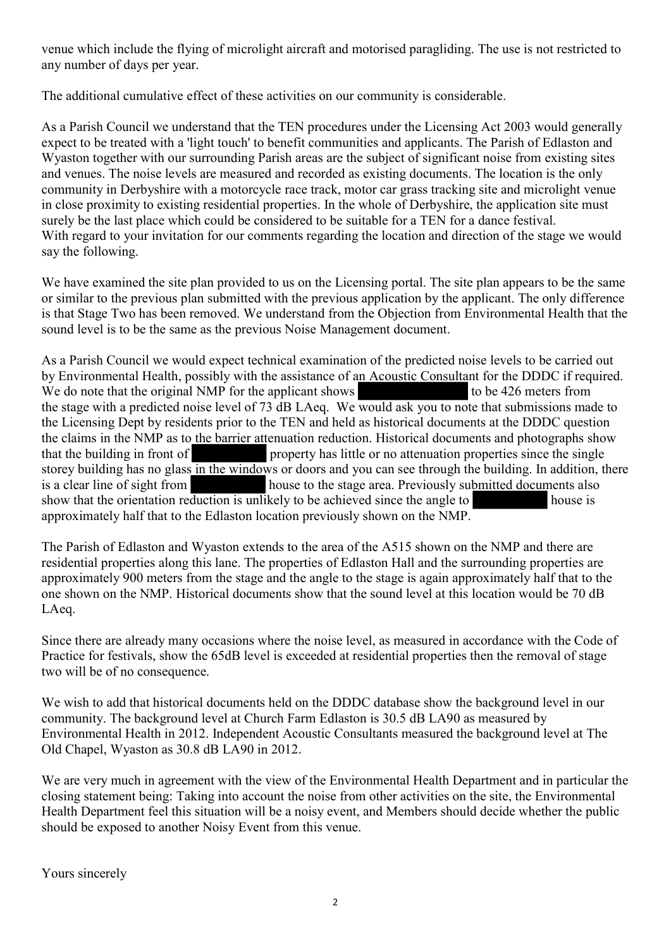venue which include the flying of microlight aircraft and motorised paragliding. The use is not restricted to any number of days per year.

The additional cumulative effect of these activities on our community is considerable.

As a Parish Council we understand that the TEN procedures under the Licensing Act 2003 would generally expect to be treated with a 'light touch' to benefit communities and applicants. The Parish of Edlaston and Wyaston together with our surrounding Parish areas are the subject of significant noise from existing sites and venues. The noise levels are measured and recorded as existing documents. The location is the only community in Derbyshire with a motorcycle race track, motor car grass tracking site and microlight venue in close proximity to existing residential properties. In the whole of Derbyshire, the application site must surely be the last place which could be considered to be suitable for a TEN for a dance festival. With regard to your invitation for our comments regarding the location and direction of the stage we would say the following.

We have examined the site plan provided to us on the Licensing portal. The site plan appears to be the same or similar to the previous plan submitted with the previous application by the applicant. The only difference is that Stage Two has been removed. We understand from the Objection from Environmental Health that the sound level is to be the same as the previous Noise Management document.

As a Parish Council we would expect technical examination of the predicted noise levels to be carried out by Environmental Health, possibly with the assistance of an Acoustic Consultant for the DDDC if required. We do note that the original NMP for the applicant shows to be 426 meters from the stage with a predicted noise level of 73 dB LAeq. We would ask you to note that submissions made to the Licensing Dept by residents prior to the TEN and held as historical documents at the DDDC question the claims in the NMP as to the barrier attenuation reduction. Historical documents and photographs show that the building in front of property has little or no attenuation properties since the single storey building has no glass in the windows or doors and you can see through the building. In addition, there is a clear line of sight from house to the stage area. Previously submitted documents also show that the orientation reduction is unlikely to be achieved since the angle to house is approximately half that to the Edlaston location previously shown on the NMP.

The Parish of Edlaston and Wyaston extends to the area of the A515 shown on the NMP and there are residential properties along this lane. The properties of Edlaston Hall and the surrounding properties are approximately 900 meters from the stage and the angle to the stage is again approximately half that to the one shown on the NMP. Historical documents show that the sound level at this location would be 70 dB LAeq.

Since there are already many occasions where the noise level, as measured in accordance with the Code of Practice for festivals, show the 65dB level is exceeded at residential properties then the removal of stage two will be of no consequence.

We wish to add that historical documents held on the DDDC database show the background level in our community. The background level at Church Farm Edlaston is 30.5 dB LA90 as measured by Environmental Health in 2012. Independent Acoustic Consultants measured the background level at The Old Chapel, Wyaston as 30.8 dB LA90 in 2012.

We are very much in agreement with the view of the Environmental Health Department and in particular the closing statement being: Taking into account the noise from other activities on the site, the Environmental Health Department feel this situation will be a noisy event, and Members should decide whether the public should be exposed to another Noisy Event from this venue.

Yours sincerely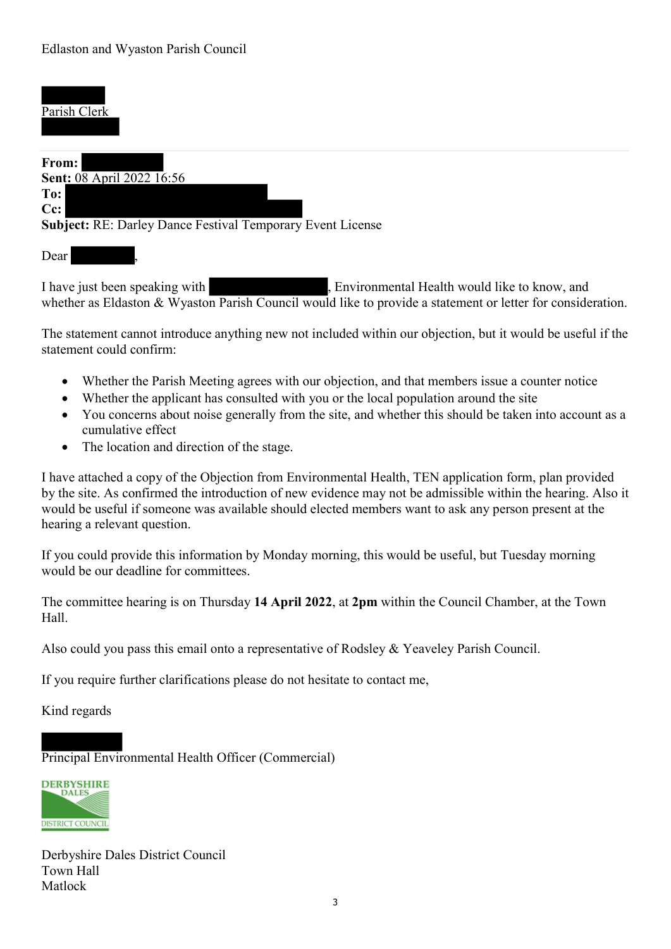l

## Parish Clerk From: Sent: 08 April 2022 16:56 To: Cc: Subject: RE: Darley Dance Festival Temporary Event License Dear

I have just been speaking with , Environmental Health would like to know, and whether as Eldaston & Wyaston Parish Council would like to provide a statement or letter for consideration.

The statement cannot introduce anything new not included within our objection, but it would be useful if the statement could confirm:

- Whether the Parish Meeting agrees with our objection, and that members issue a counter notice
- Whether the applicant has consulted with you or the local population around the site
- You concerns about noise generally from the site, and whether this should be taken into account as a cumulative effect
- The location and direction of the stage.

I have attached a copy of the Objection from Environmental Health, TEN application form, plan provided by the site. As confirmed the introduction of new evidence may not be admissible within the hearing. Also it would be useful if someone was available should elected members want to ask any person present at the hearing a relevant question.

If you could provide this information by Monday morning, this would be useful, but Tuesday morning would be our deadline for committees.

The committee hearing is on Thursday 14 April 2022, at 2pm within the Council Chamber, at the Town Hall.

Also could you pass this email onto a representative of Rodsley & Yeaveley Parish Council.

If you require further clarifications please do not hesitate to contact me,

Kind regards

l

Principal Environmental Health Officer (Commercial)



Derbyshire Dales District Council Town Hall Matlock